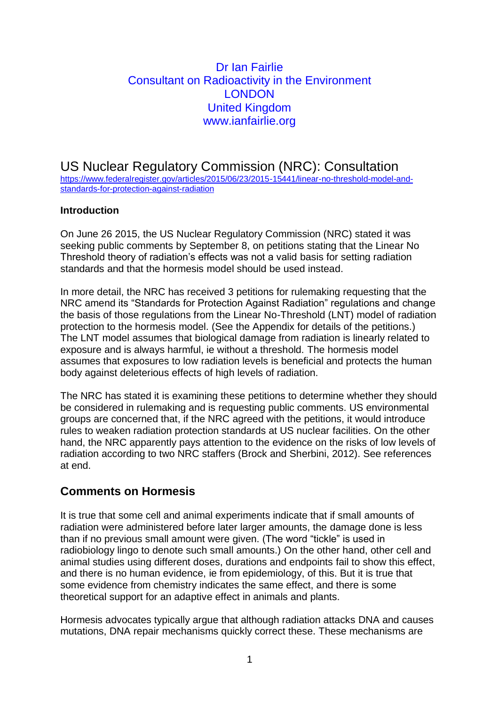# Dr Ian Fairlie Consultant on Radioactivity in the Environment **LONDON** United Kingdom www.ianfairlie.org

US Nuclear Regulatory Commission (NRC): Consultation [https://www.federalregister.gov/articles/2015/06/23/2015-15441/linear-no-threshold-model-and](https://www.federalregister.gov/articles/2015/06/23/2015-15441/linear-no-threshold-model-and-standards-for-protection-against-radiation)[standards-for-protection-against-radiation](https://www.federalregister.gov/articles/2015/06/23/2015-15441/linear-no-threshold-model-and-standards-for-protection-against-radiation)

# **Introduction**

On June 26 2015, the US Nuclear Regulatory Commission (NRC) stated it was seeking public comments by September 8, on petitions stating that the Linear No Threshold theory of radiation's effects was not a valid basis for setting radiation standards and that the hormesis model should be used instead.

In more detail, the NRC has received 3 petitions for rulemaking requesting that the NRC amend its "Standards for Protection Against Radiation" regulations and change the basis of those regulations from the Linear No-Threshold (LNT) model of radiation protection to the hormesis model. (See the Appendix for details of the petitions.) The LNT model assumes that biological damage from radiation is linearly related to exposure and is always harmful, ie without a threshold. The hormesis model assumes that exposures to low radiation levels is beneficial and protects the human body against deleterious effects of high levels of radiation.

The NRC has stated it is examining these petitions to determine whether they should be considered in rulemaking and is requesting public comments. US environmental groups are concerned that, if the NRC agreed with the petitions, it would introduce rules to weaken radiation protection standards at US nuclear facilities. On the other hand, the NRC apparently pays attention to the evidence on the risks of low levels of radiation according to two NRC staffers (Brock and Sherbini, 2012). See references at end.

# **Comments on Hormesis**

It is true that some cell and animal experiments indicate that if small amounts of radiation were administered before later larger amounts, the damage done is less than if no previous small amount were given. (The word "tickle" is used in radiobiology lingo to denote such small amounts.) On the other hand, other cell and animal studies using different doses, durations and endpoints fail to show this effect, and there is no human evidence, ie from epidemiology, of this. But it is true that some evidence from chemistry indicates the same effect, and there is some theoretical support for an adaptive effect in animals and plants.

Hormesis advocates typically argue that although radiation attacks DNA and causes mutations, DNA repair mechanisms quickly correct these. These mechanisms are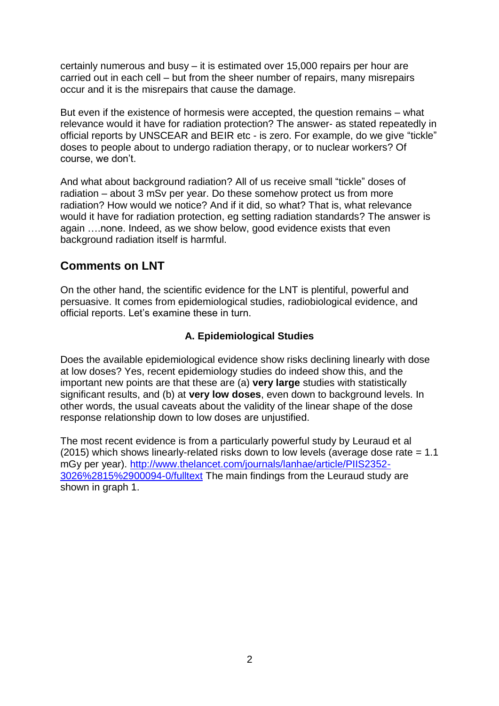certainly numerous and busy – it is estimated over 15,000 repairs per hour are carried out in each cell – but from the sheer number of repairs, many misrepairs occur and it is the misrepairs that cause the damage.

But even if the existence of hormesis were accepted, the question remains – what relevance would it have for radiation protection? The answer- as stated repeatedly in official reports by UNSCEAR and BEIR etc - is zero. For example, do we give "tickle" doses to people about to undergo radiation therapy, or to nuclear workers? Of course, we don't.

And what about background radiation? All of us receive small "tickle" doses of radiation – about 3 mSv per year. Do these somehow protect us from more radiation? How would we notice? And if it did, so what? That is, what relevance would it have for radiation protection, eg setting radiation standards? The answer is again ….none. Indeed, as we show below, good evidence exists that even background radiation itself is harmful.

# **Comments on LNT**

On the other hand, the scientific evidence for the LNT is plentiful, powerful and persuasive. It comes from epidemiological studies, radiobiological evidence, and official reports. Let's examine these in turn.

# **A. Epidemiological Studies**

Does the available epidemiological evidence show risks declining linearly with dose at low doses? Yes, recent epidemiology studies do indeed show this, and the important new points are that these are (a) **very large** studies with statistically significant results, and (b) at **very low doses**, even down to background levels. In other words, the usual caveats about the validity of the linear shape of the dose response relationship down to low doses are unjustified.

The most recent evidence is from a particularly powerful study by Leuraud et al (2015) which shows linearly-related risks down to low levels (average dose rate = 1.1 mGy per year). [http://www.thelancet.com/journals/lanhae/article/PIIS2352-](http://www.thelancet.com/journals/lanhae/article/PIIS2352-3026%2815%2900094-0/fulltext) [3026%2815%2900094-0/fulltext](http://www.thelancet.com/journals/lanhae/article/PIIS2352-3026%2815%2900094-0/fulltext) The main findings from the Leuraud study are shown in graph 1.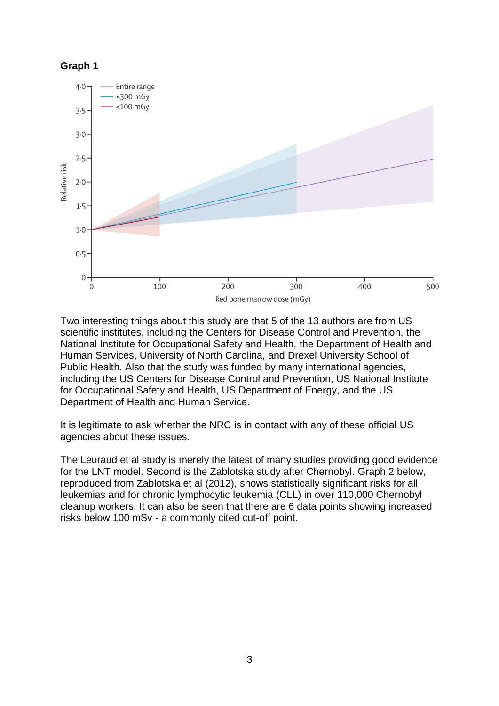#### **Graph 1**



Two interesting things about this study are that 5 of the 13 authors are from US scientific institutes, including the Centers for Disease Control and Prevention, the National Institute for Occupational Safety and Health, the Department of Health and Human Services, University of North Carolina, and Drexel University School of Public Health. Also that the study was funded by many international agencies, including the US Centers for Disease Control and Prevention, US National Institute for Occupational Safety and Health, US Department of Energy, and the US Department of Health and Human Service.

It is legitimate to ask whether the NRC is in contact with any of these official US agencies about these issues.

The Leuraud et al study is merely the latest of many studies providing good evidence for the LNT model. Second is the Zablotska study after Chernobyl. Graph 2 below, reproduced from Zablotska et al (2012), shows statistically significant risks for all leukemias and for chronic lymphocytic leukemia (CLL) in over 110,000 Chernobyl cleanup workers. It can also be seen that there are 6 data points showing increased risks below 100 mSv - a commonly cited cut-off point.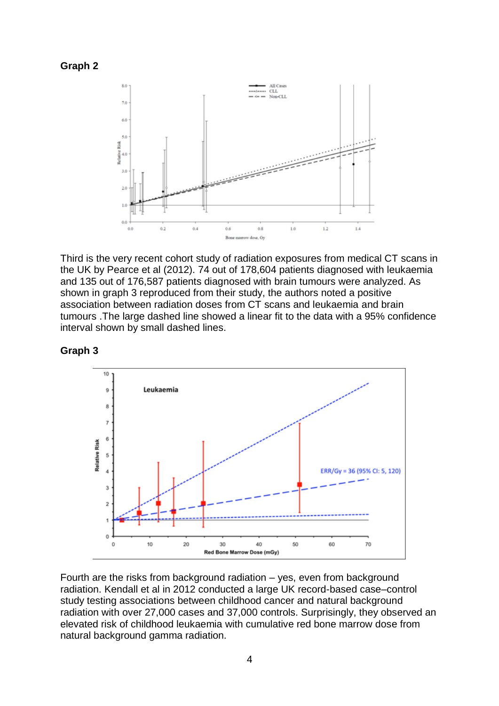



Third is the very recent cohort study of radiation exposures from medical CT scans in the UK by Pearce et al (2012). 74 out of 178,604 patients diagnosed with leukaemia and 135 out of 176,587 patients diagnosed with brain tumours were analyzed. As shown in graph 3 reproduced from their study, the authors noted a positive association between radiation doses from CT scans and leukaemia and brain tumours .The large dashed line showed a linear fit to the data with a 95% confidence interval shown by small dashed lines.





Fourth are the risks from background radiation – yes, even from background radiation. Kendall et al in 2012 conducted a large UK record-based case–control study testing associations between childhood cancer and natural background radiation with over 27,000 cases and 37,000 controls. Surprisingly, they observed an elevated risk of childhood leukaemia with cumulative red bone marrow dose from natural background gamma radiation.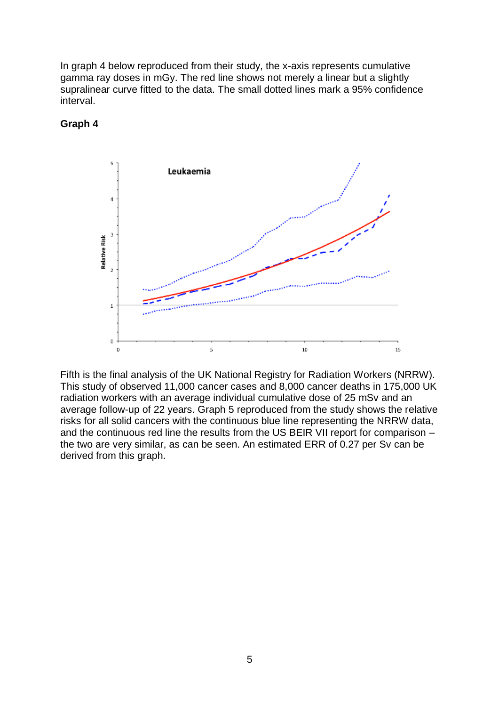In graph 4 below reproduced from their study, the x-axis represents cumulative gamma ray doses in mGy. The red line shows not merely a linear but a slightly supralinear curve fitted to the data. The small dotted lines mark a 95% confidence interval.



#### **Graph 4**

Fifth is the final analysis of the UK National Registry for Radiation Workers (NRRW). This study of observed 11,000 cancer cases and 8,000 cancer deaths in 175,000 UK radiation workers with an average individual cumulative dose of 25 mSv and an average follow-up of 22 years. Graph 5 reproduced from the study shows the relative risks for all solid cancers with the continuous blue line representing the NRRW data, and the continuous red line the results from the US BEIR VII report for comparison – the two are very similar, as can be seen. An estimated ERR of 0.27 per Sv can be derived from this graph.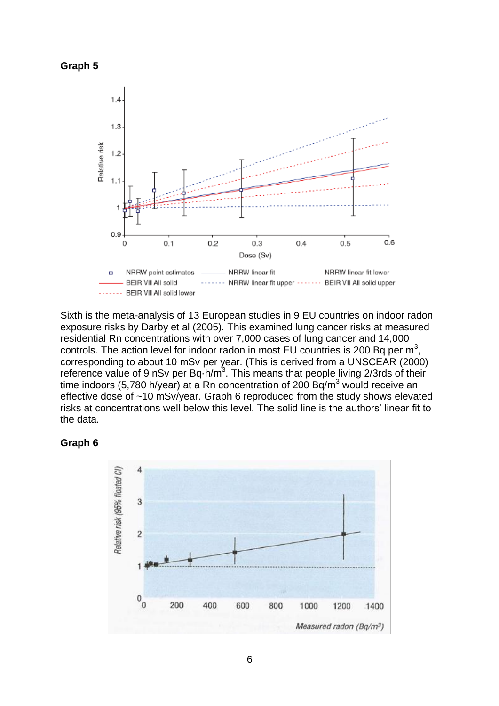



Sixth is the meta-analysis of 13 European studies in 9 EU countries on indoor radon exposure risks by Darby et al (2005). This examined lung cancer risks at measured residential Rn concentrations with over 7,000 cases of lung cancer and 14,000 controls. The action level for indoor radon in most EU countries is 200 Bq per  $m^3$ , corresponding to about 10 mSv per year. (This is derived from a UNSCEAR (2000) reference value of 9 nSv per Bq $\cdot$ h/m<sup>3</sup>. This means that people living 2/3rds of their time indoors (5,780 h/year) at a Rn concentration of 200 Bq/m<sup>3</sup> would receive an effective dose of ~10 mSv/year. Graph 6 reproduced from the study shows elevated risks at concentrations well below this level. The solid line is the authors' linear fit to the data.

### **Graph 6**

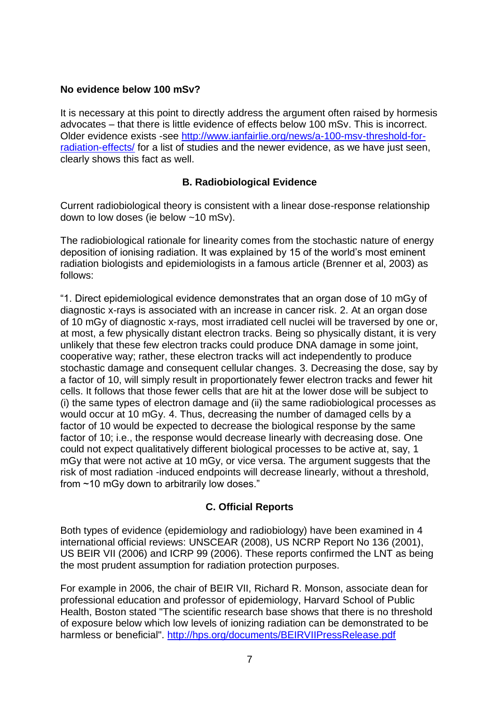### **No evidence below 100 mSv?**

It is necessary at this point to directly address the argument often raised by hormesis advocates – that there is little evidence of effects below 100 mSv. This is incorrect. Older evidence exists -see [http://www.ianfairlie.org/news/a-100-msv-threshold-for](http://www.ianfairlie.org/news/a-100-msv-threshold-for-radiation-effects/)[radiation-effects/](http://www.ianfairlie.org/news/a-100-msv-threshold-for-radiation-effects/) for a list of studies and the newer evidence, as we have just seen, clearly shows this fact as well.

# **B. Radiobiological Evidence**

Current radiobiological theory is consistent with a linear dose-response relationship down to low doses (ie below ~10 mSv).

The radiobiological rationale for linearity comes from the stochastic nature of energy deposition of ionising radiation. It was explained by 15 of the world's most eminent radiation biologists and epidemiologists in a famous article (Brenner et al, 2003) as follows:

"1. Direct epidemiological evidence demonstrates that an organ dose of 10 mGy of diagnostic x-rays is associated with an increase in cancer risk. 2. At an organ dose of 10 mGy of diagnostic x-rays, most irradiated cell nuclei will be traversed by one or, at most, a few physically distant electron tracks. Being so physically distant, it is very unlikely that these few electron tracks could produce DNA damage in some joint, cooperative way; rather, these electron tracks will act independently to produce stochastic damage and consequent cellular changes. 3. Decreasing the dose, say by a factor of 10, will simply result in proportionately fewer electron tracks and fewer hit cells. It follows that those fewer cells that are hit at the lower dose will be subject to (i) the same types of electron damage and (ii) the same radiobiological processes as would occur at 10 mGy. 4. Thus, decreasing the number of damaged cells by a factor of 10 would be expected to decrease the biological response by the same factor of 10; i.e., the response would decrease linearly with decreasing dose. One could not expect qualitatively different biological processes to be active at, say, 1 mGy that were not active at 10 mGy, or vice versa. The argument suggests that the risk of most radiation -induced endpoints will decrease linearly, without a threshold, from ~10 mGy down to arbitrarily low doses."

# **C. Official Reports**

Both types of evidence (epidemiology and radiobiology) have been examined in 4 international official reviews: UNSCEAR (2008), US NCRP Report No 136 (2001), US BEIR VII (2006) and ICRP 99 (2006). These reports confirmed the LNT as being the most prudent assumption for radiation protection purposes.

For example in 2006, the chair of BEIR VII, Richard R. Monson, associate dean for professional education and professor of epidemiology, Harvard School of Public Health, Boston stated "The scientific research base shows that there is no threshold of exposure below which low levels of ionizing radiation can be demonstrated to be harmless or beneficial".<http://hps.org/documents/BEIRVIIPressRelease.pdf>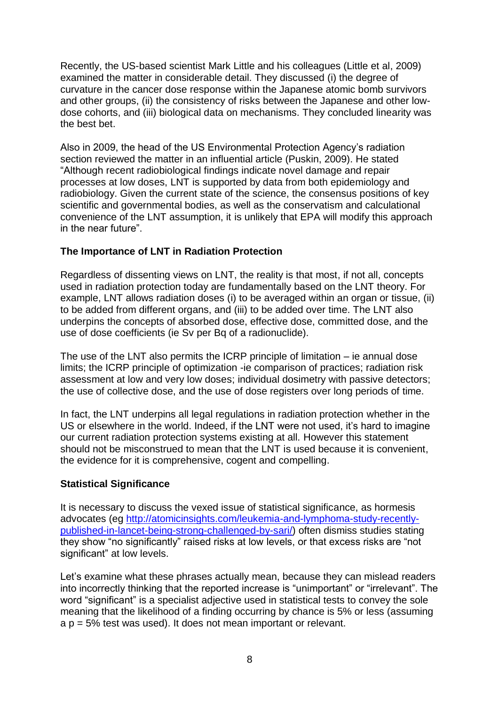Recently, the US-based scientist Mark Little and his colleagues (Little et al, 2009) examined the matter in considerable detail. They discussed (i) the degree of curvature in the cancer dose response within the Japanese atomic bomb survivors and other groups, (ii) the consistency of risks between the Japanese and other lowdose cohorts, and (iii) biological data on mechanisms. They concluded linearity was the best bet.

Also in 2009, the head of the US Environmental Protection Agency's radiation section reviewed the matter in an influential article (Puskin, 2009). He stated "Although recent radiobiological findings indicate novel damage and repair processes at low doses, LNT is supported by data from both epidemiology and radiobiology. Given the current state of the science, the consensus positions of key scientific and governmental bodies, as well as the conservatism and calculational convenience of the LNT assumption, it is unlikely that EPA will modify this approach in the near future".

# **The Importance of LNT in Radiation Protection**

Regardless of dissenting views on LNT, the reality is that most, if not all, concepts used in radiation protection today are fundamentally based on the LNT theory. For example, LNT allows radiation doses (i) to be averaged within an organ or tissue, (ii) to be added from different organs, and (iii) to be added over time. The LNT also underpins the concepts of absorbed dose, effective dose, committed dose, and the use of dose coefficients (ie Sv per Bq of a radionuclide).

The use of the LNT also permits the ICRP principle of limitation – ie annual dose limits; the ICRP principle of optimization -ie comparison of practices; radiation risk assessment at low and very low doses; individual dosimetry with passive detectors; the use of collective dose, and the use of dose registers over long periods of time.

In fact, the LNT underpins all legal regulations in radiation protection whether in the US or elsewhere in the world. Indeed, if the LNT were not used, it's hard to imagine our current radiation protection systems existing at all. However this statement should not be misconstrued to mean that the LNT is used because it is convenient, the evidence for it is comprehensive, cogent and compelling.

### **Statistical Significance**

It is necessary to discuss the vexed issue of statistical significance, as hormesis advocates (eg [http://atomicinsights.com/leukemia-and-lymphoma-study-recently](http://atomicinsights.com/leukemia-and-lymphoma-study-recently-published-in-lancet-being-strong-challenged-by-sari/)[published-in-lancet-being-strong-challenged-by-sari/\)](http://atomicinsights.com/leukemia-and-lymphoma-study-recently-published-in-lancet-being-strong-challenged-by-sari/) often dismiss studies stating they show "no significantly" raised risks at low levels, or that excess risks are "not significant" at low levels.

Let's examine what these phrases actually mean, because they can mislead readers into incorrectly thinking that the reported increase is "unimportant" or "irrelevant". The word "significant" is a specialist adjective used in statistical tests to convey the sole meaning that the likelihood of a finding occurring by chance is 5% or less (assuming a p = 5% test was used). It does not mean important or relevant.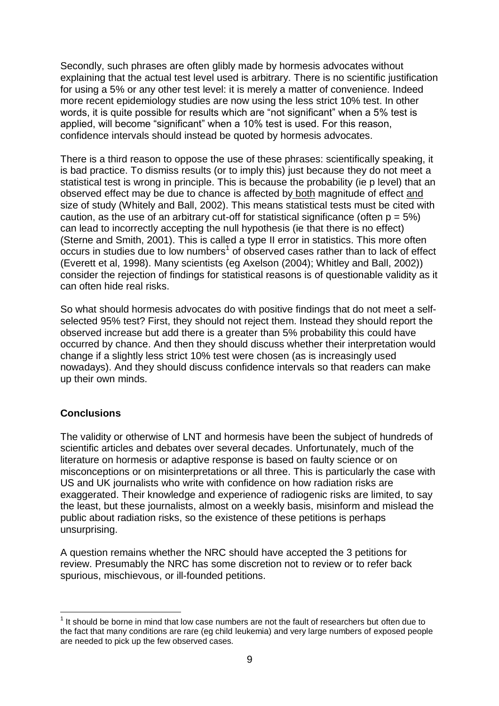Secondly, such phrases are often glibly made by hormesis advocates without explaining that the actual test level used is arbitrary. There is no scientific justification for using a 5% or any other test level: it is merely a matter of convenience. Indeed more recent epidemiology studies are now using the less strict 10% test. In other words, it is quite possible for results which are "not significant" when a 5% test is applied, will become "significant" when a 10% test is used. For this reason, confidence intervals should instead be quoted by hormesis advocates.

There is a third reason to oppose the use of these phrases: scientifically speaking, it is bad practice. To dismiss results (or to imply this) just because they do not meet a statistical test is wrong in principle. This is because the probability (ie p level) that an observed effect may be due to chance is affected by both magnitude of effect and size of study (Whitely and Ball, 2002). This means statistical tests must be cited with caution, as the use of an arbitrary cut-off for statistical significance (often  $p = 5\%)$ can lead to incorrectly accepting the null hypothesis (ie that there is no effect) (Sterne and Smith, 2001). This is called a type II error in statistics. This more often  $\rm{occurs}$  in studies due to low numbers<sup>1</sup> of observed cases rather than to lack of effect (Everett et al, 1998). Many scientists (eg Axelson (2004); Whitley and Ball, 2002)) consider the rejection of findings for statistical reasons is of questionable validity as it can often hide real risks.

So what should hormesis advocates do with positive findings that do not meet a selfselected 95% test? First, they should not reject them. Instead they should report the observed increase but add there is a greater than 5% probability this could have occurred by chance. And then they should discuss whether their interpretation would change if a slightly less strict 10% test were chosen (as is increasingly used nowadays). And they should discuss confidence intervals so that readers can make up their own minds.

### **Conclusions**

<u>.</u>

The validity or otherwise of LNT and hormesis have been the subject of hundreds of scientific articles and debates over several decades. Unfortunately, much of the literature on hormesis or adaptive response is based on faulty science or on misconceptions or on misinterpretations or all three. This is particularly the case with US and UK journalists who write with confidence on how radiation risks are exaggerated. Their knowledge and experience of radiogenic risks are limited, to say the least, but these journalists, almost on a weekly basis, misinform and mislead the public about radiation risks, so the existence of these petitions is perhaps unsurprising.

A question remains whether the NRC should have accepted the 3 petitions for review. Presumably the NRC has some discretion not to review or to refer back spurious, mischievous, or ill-founded petitions.

 $<sup>1</sup>$  It should be borne in mind that low case numbers are not the fault of researchers but often due to</sup> the fact that many conditions are rare (eg child leukemia) and very large numbers of exposed people are needed to pick up the few observed cases.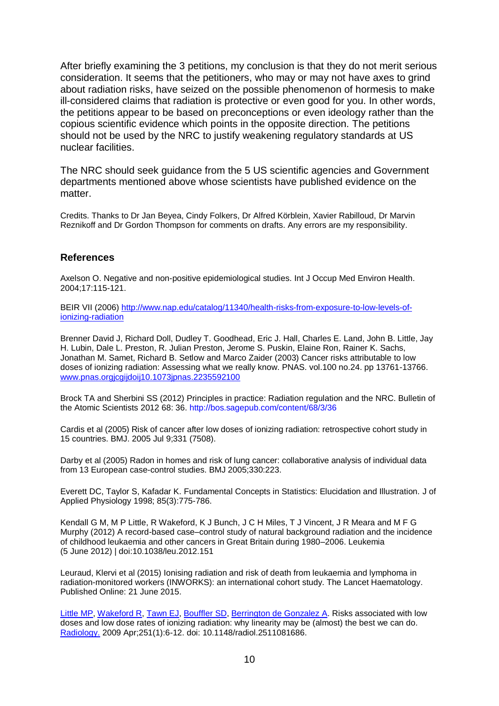After briefly examining the 3 petitions, my conclusion is that they do not merit serious consideration. It seems that the petitioners, who may or may not have axes to grind about radiation risks, have seized on the possible phenomenon of hormesis to make ill-considered claims that radiation is protective or even good for you. In other words, the petitions appear to be based on preconceptions or even ideology rather than the copious scientific evidence which points in the opposite direction. The petitions should not be used by the NRC to justify weakening regulatory standards at US nuclear facilities.

The NRC should seek guidance from the 5 US scientific agencies and Government departments mentioned above whose scientists have published evidence on the matter.

Credits. Thanks to Dr Jan Beyea, Cindy Folkers, Dr Alfred Körblein, Xavier Rabilloud, Dr Marvin Reznikoff and Dr Gordon Thompson for comments on drafts. Any errors are my responsibility.

#### **References**

Axelson O. Negative and non-positive epidemiological studies. Int J Occup Med Environ Health. 2004;17:115-121.

BEIR VII (2006) [http://www.nap.edu/catalog/11340/health-risks-from-exposure-to-low-levels-of](http://www.nap.edu/catalog/11340/health-risks-from-exposure-to-low-levels-of-ionizing-radiation)[ionizing-radiation](http://www.nap.edu/catalog/11340/health-risks-from-exposure-to-low-levels-of-ionizing-radiation)

Brenner David J, Richard Doll, Dudley T. Goodhead, Eric J. Hall, Charles E. Land, John B. Little, Jay H. Lubin, Dale L. Preston, R. Julian Preston, Jerome S. Puskin, Elaine Ron, Rainer K. Sachs, Jonathan M. Samet, Richard B. Setlow and Marco Zaider (2003) Cancer risks attributable to low doses of ionizing radiation: Assessing what we really know. PNAS. vol.100 no.24. pp 13761-13766. [www.pnas.orgjcgijdoij10.1073jpnas.2235592100](http://www.pnas.orgjcgijdoij10.1073jpnas.2235592100/)

Brock TA and Sherbini SS (2012) Principles in practice: Radiation regulation and the NRC. Bulletin of the Atomic Scientists 2012 68: 36. http://bos.sagepub.com/content/68/3/36

Cardis et al (2005) Risk of cancer after low doses of ionizing radiation: retrospective cohort study in 15 countries. BMJ. 2005 Jul 9;331 (7508).

Darby et al (2005) Radon in homes and risk of lung cancer: collaborative analysis of individual data from 13 European case-control studies. BMJ 2005;330:223.

Everett DC, Taylor S, Kafadar K. Fundamental Concepts in Statistics: Elucidation and Illustration. J of Applied Physiology 1998; 85(3):775-786.

Kendall G M, M P Little, R Wakeford, K J Bunch, J C H Miles, T J Vincent, J R Meara and M F G Murphy (2012) A record-based case–control study of natural background radiation and the incidence of childhood leukaemia and other cancers in Great Britain during 1980–2006. Leukemia (5 June 2012) | doi:10.1038/leu.2012.151

Leuraud, Klervi et al (2015) Ionising radiation and risk of death from leukaemia and lymphoma in radiation-monitored workers (INWORKS): an international cohort study. The Lancet Haematology. Published Online: 21 June 2015.

[Little MP,](http://www.ncbi.nlm.nih.gov/pubmed?term=Little%20MP%5BAuthor%5D&cauthor=true&cauthor_uid=19332841) [Wakeford R,](http://www.ncbi.nlm.nih.gov/pubmed?term=Wakeford%20R%5BAuthor%5D&cauthor=true&cauthor_uid=19332841) [Tawn EJ,](http://www.ncbi.nlm.nih.gov/pubmed?term=Tawn%20EJ%5BAuthor%5D&cauthor=true&cauthor_uid=19332841) [Bouffler SD,](http://www.ncbi.nlm.nih.gov/pubmed?term=Bouffler%20SD%5BAuthor%5D&cauthor=true&cauthor_uid=19332841) [Berrington de Gonzalez A.](http://www.ncbi.nlm.nih.gov/pubmed?term=Berrington%20de%20Gonzalez%20A%5BAuthor%5D&cauthor=true&cauthor_uid=19332841) Risks associated with low doses and low dose rates of ionizing radiation: why linearity may be (almost) the best we can do. [Radiology.](http://www.ncbi.nlm.nih.gov/pubmed/19332841) 2009 Apr;251(1):6-12. doi: 10.1148/radiol.2511081686.